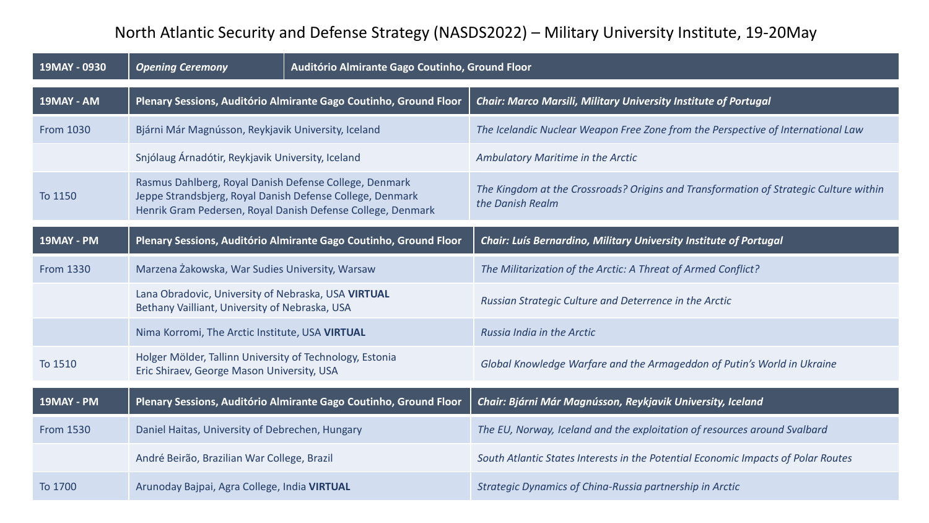## North Atlantic Security and Defense Strategy (NASDS2022) – Military University Institute, 19-20May

| 19MAY - 0930     | <b>Opening Ceremony</b>                                                                                                                                                            | Auditório Almirante Gago Coutinho, Ground Floor |                                                                                                           |
|------------------|------------------------------------------------------------------------------------------------------------------------------------------------------------------------------------|-------------------------------------------------|-----------------------------------------------------------------------------------------------------------|
| 19MAY - AM       | Plenary Sessions, Auditório Almirante Gago Coutinho, Ground Floor                                                                                                                  |                                                 | Chair: Marco Marsili, Military University Institute of Portugal                                           |
| <b>From 1030</b> | Bjárni Már Magnússon, Reykjavik University, Iceland                                                                                                                                |                                                 | The Icelandic Nuclear Weapon Free Zone from the Perspective of International Law                          |
|                  | Snjólaug Árnadótir, Reykjavik University, Iceland                                                                                                                                  |                                                 | Ambulatory Maritime in the Arctic                                                                         |
| To 1150          | Rasmus Dahlberg, Royal Danish Defense College, Denmark<br>Jeppe Strandsbjerg, Royal Danish Defense College, Denmark<br>Henrik Gram Pedersen, Royal Danish Defense College, Denmark |                                                 | The Kingdom at the Crossroads? Origins and Transformation of Strategic Culture within<br>the Danish Realm |
| 19MAY - PM       | Plenary Sessions, Auditório Almirante Gago Coutinho, Ground Floor                                                                                                                  |                                                 | Chair: Luís Bernardino, Military University Institute of Portugal                                         |
| <b>From 1330</b> | Marzena Żakowska, War Sudies University, Warsaw                                                                                                                                    |                                                 | The Militarization of the Arctic: A Threat of Armed Conflict?                                             |
|                  | Lana Obradovic, University of Nebraska, USA VIRTUAL<br>Bethany Vailliant, University of Nebraska, USA                                                                              |                                                 | Russian Strategic Culture and Deterrence in the Arctic                                                    |
|                  | Nima Korromi, The Arctic Institute, USA VIRTUAL                                                                                                                                    |                                                 | Russia India in the Arctic                                                                                |
| To 1510          | Holger Mölder, Tallinn University of Technology, Estonia<br>Eric Shiraev, George Mason University, USA                                                                             |                                                 | Global Knowledge Warfare and the Armageddon of Putin's World in Ukraine                                   |
| 19MAY - PM       | Plenary Sessions, Auditório Almirante Gago Coutinho, Ground Floor                                                                                                                  |                                                 | Chair: Bjárni Már Magnússon, Reykjavik University, Iceland                                                |
| <b>From 1530</b> | Daniel Haitas, University of Debrechen, Hungary                                                                                                                                    |                                                 | The EU, Norway, Iceland and the exploitation of resources around Svalbard                                 |
|                  | André Beirão, Brazilian War College, Brazil                                                                                                                                        |                                                 | South Atlantic States Interests in the Potential Economic Impacts of Polar Routes                         |
| To 1700          | Arunoday Bajpai, Agra College, India VIRTUAL                                                                                                                                       |                                                 | Strategic Dynamics of China-Russia partnership in Arctic                                                  |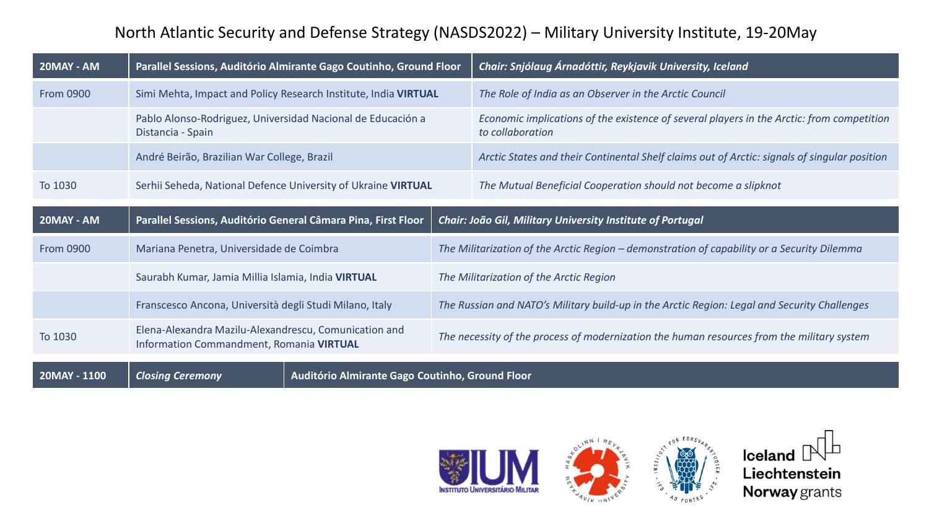## North Atlantic Security and Defense Strategy (NASDS2022) – Military University Institute, 19-20May

| 20MAY - AM       | Parallel Sessions, Auditório Almirante Gago Coutinho, Ground Floor                                |  | Chair: Snjólaug Árnadóttir, Reykjavik University, Iceland                                                     |
|------------------|---------------------------------------------------------------------------------------------------|--|---------------------------------------------------------------------------------------------------------------|
| <b>From 0900</b> | Simi Mehta, Impact and Policy Research Institute, India VIRTUAL                                   |  | The Role of India as an Observer in the Arctic Council                                                        |
|                  | Pablo Alonso-Rodriguez, Universidad Nacional de Educación a<br>Distancia - Spain                  |  | Economic implications of the existence of several players in the Arctic: from competition<br>to collaboration |
|                  | André Beirão, Brazilian War College, Brazil                                                       |  | Arctic States and their Continental Shelf claims out of Arctic: signals of singular position                  |
| To 1030          | Serhii Seheda, National Defence University of Ukraine VIRTUAL                                     |  | The Mutual Beneficial Cooperation should not become a slipknot                                                |
|                  | Parallel Sessions, Auditório General Câmara Pina, First Floor                                     |  |                                                                                                               |
| 20MAY - AM       |                                                                                                   |  | Chair: João Gil, Military University Institute of Portugal                                                    |
| <b>From 0900</b> | Mariana Penetra, Universidade de Coimbra                                                          |  | The Militarization of the Arctic Region - demonstration of capability or a Security Dilemma                   |
|                  | Saurabh Kumar, Jamia Millia Islamia, India VIRTUAL                                                |  | The Militarization of the Arctic Region                                                                       |
|                  | Franscesco Ancona, Università degli Studi Milano, Italy                                           |  | The Russian and NATO's Military build-up in the Arctic Region: Legal and Security Challenges                  |
| To 1030          | Elena-Alexandra Mazilu-Alexandrescu, Comunication and<br>Information Commandment, Romania VIRTUAL |  | The necessity of the process of modernization the human resources from the military system                    |